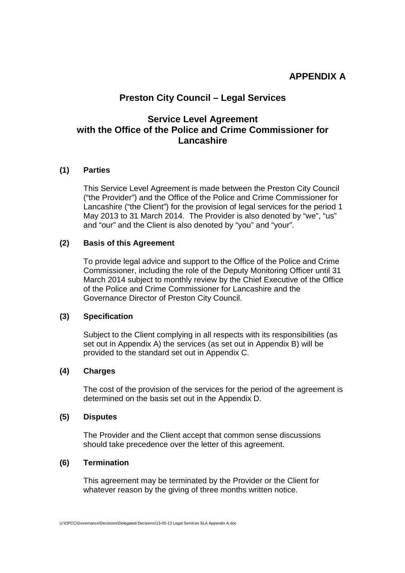# **APPENDIX A**

# **Preston City Council – Legal Services**

# **Service Level Agreement with the Office of the Police and Crime Commissioner for Lancashire**

# **(1) Parties**

This Service Level Agreement is made between the Preston City Council ("the Provider") and the Office of the Police and Crime Commissioner for Lancashire ("the Client") for the provision of legal services for the period 1 May 2013 to 31 March 2014. The Provider is also denoted by "we", "us" and "our" and the Client is also denoted by "you" and "your".

### **(2) Basis of this Agreement**

To provide legal advice and support to the Office of the Police and Crime Commissioner, including the role of the Deputy Monitoring Officer until 31 March 2014 subject to monthly review by the Chief Executive of the Office of the Police and Crime Commissioner for Lancashire and the Governance Director of Preston City Council.

# **(3) Specification**

Subject to the Client complying in all respects with its responsibilities (as set out in Appendix A) the services (as set out in Appendix B) will be provided to the standard set out in Appendix C.

# **(4) Charges**

The cost of the provision of the services for the period of the agreement is determined on the basis set out in the Appendix D.

### **(5) Disputes**

The Provider and the Client accept that common sense discussions should take precedence over the letter of this agreement.

# **(6) Termination**

This agreement may be terminated by the Provider or the Client for whatever reason by the giving of three months written notice.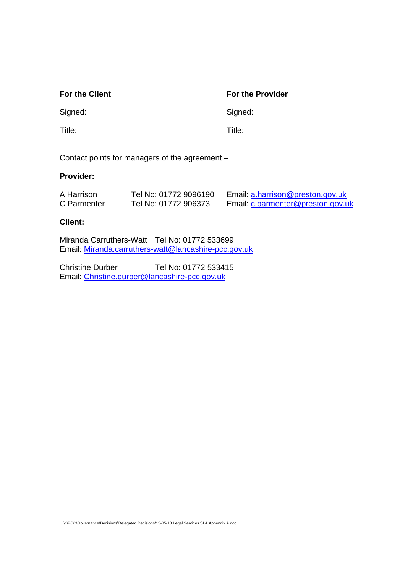# **For the Client For the Provider**

Signed: Signed: Signed: Signed: Signed: Signed: Signed: Signed: Signed: Signed: Signed: Signed: Signed: Signed: Signed: Signed: Signed: Signed: Signed: Signed: Signed: Signed: Signed: Signed: Signed: Signed: Signed: Signed

Title: Title:

Contact points for managers of the agreement –

# **Provider:**

| A Harrison  | Tel No: 01772 9096190 | Email: a.harrison@preston.gov.uk  |
|-------------|-----------------------|-----------------------------------|
| C Parmenter | Tel No: 01772 906373  | Email: c.parmenter@preston.gov.uk |

# **Client:**

Miranda Carruthers-Watt Tel No: 01772 533699 Email: Miranda.carruthers-watt@lancashire-pcc.gov.uk

Christine Durber Tel No: 01772 533415 Email: Christine.durber@lancashire-pcc.gov.uk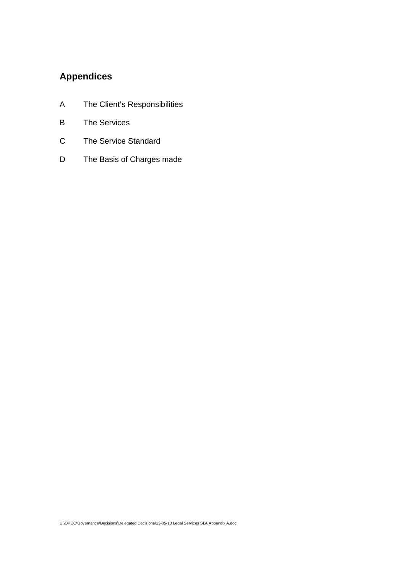# **Appendices**

- A The Client's Responsibilities
- B The Services
- C The Service Standard
- D The Basis of Charges made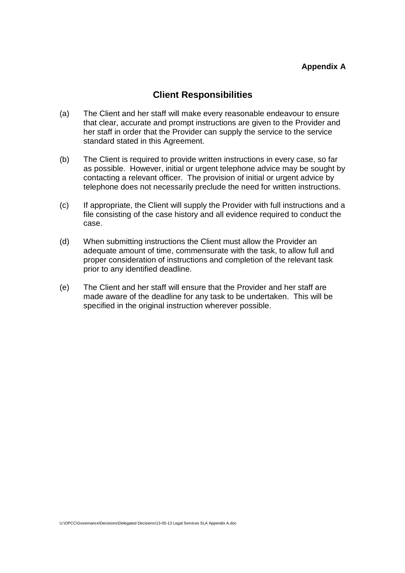# **Client Responsibilities**

- (a) The Client and her staff will make every reasonable endeavour to ensure that clear, accurate and prompt instructions are given to the Provider and her staff in order that the Provider can supply the service to the service standard stated in this Agreement.
- (b) The Client is required to provide written instructions in every case, so far as possible. However, initial or urgent telephone advice may be sought by contacting a relevant officer. The provision of initial or urgent advice by telephone does not necessarily preclude the need for written instructions.
- (c) If appropriate, the Client will supply the Provider with full instructions and a file consisting of the case history and all evidence required to conduct the case.
- (d) When submitting instructions the Client must allow the Provider an adequate amount of time, commensurate with the task, to allow full and proper consideration of instructions and completion of the relevant task prior to any identified deadline.
- (e) The Client and her staff will ensure that the Provider and her staff are made aware of the deadline for any task to be undertaken. This will be specified in the original instruction wherever possible.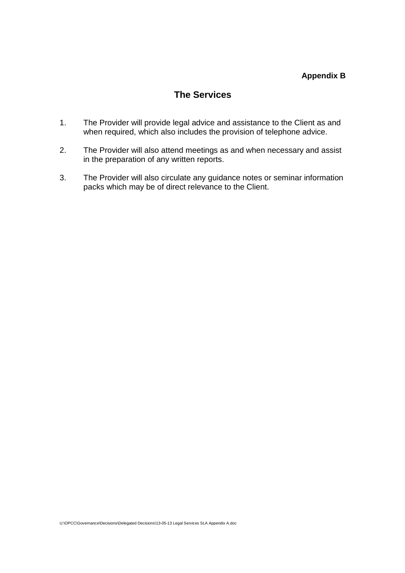# **Appendix B**

# **The Services**

- 1. The Provider will provide legal advice and assistance to the Client as and when required, which also includes the provision of telephone advice.
- 2. The Provider will also attend meetings as and when necessary and assist in the preparation of any written reports.
- 3. The Provider will also circulate any guidance notes or seminar information packs which may be of direct relevance to the Client.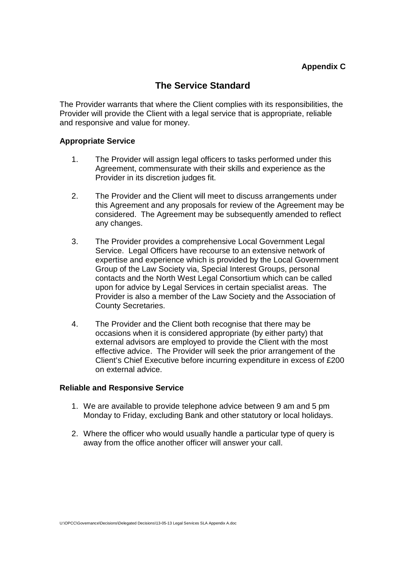# **The Service Standard**

The Provider warrants that where the Client complies with its responsibilities, the Provider will provide the Client with a legal service that is appropriate, reliable and responsive and value for money.

# **Appropriate Service**

- 1. The Provider will assign legal officers to tasks performed under this Agreement, commensurate with their skills and experience as the Provider in its discretion judges fit.
- 2. The Provider and the Client will meet to discuss arrangements under this Agreement and any proposals for review of the Agreement may be considered. The Agreement may be subsequently amended to reflect any changes.
- 3. The Provider provides a comprehensive Local Government Legal Service. Legal Officers have recourse to an extensive network of expertise and experience which is provided by the Local Government Group of the Law Society via, Special Interest Groups, personal contacts and the North West Legal Consortium which can be called upon for advice by Legal Services in certain specialist areas. The Provider is also a member of the Law Society and the Association of County Secretaries.
- 4. The Provider and the Client both recognise that there may be occasions when it is considered appropriate (by either party) that external advisors are employed to provide the Client with the most effective advice. The Provider will seek the prior arrangement of the Client's Chief Executive before incurring expenditure in excess of £200 on external advice.

### **Reliable and Responsive Service**

- 1. We are available to provide telephone advice between 9 am and 5 pm Monday to Friday, excluding Bank and other statutory or local holidays.
- 2. Where the officer who would usually handle a particular type of query is away from the office another officer will answer your call.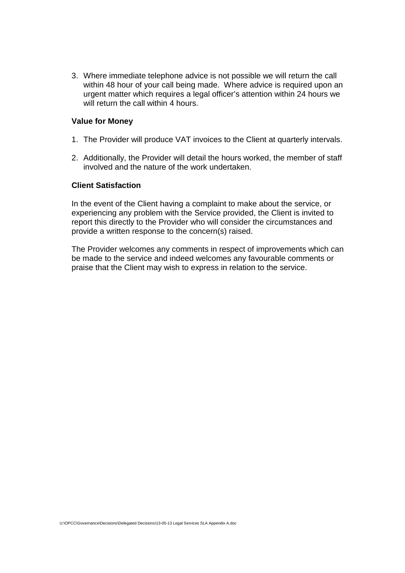3. Where immediate telephone advice is not possible we will return the call within 48 hour of your call being made. Where advice is required upon an urgent matter which requires a legal officer's attention within 24 hours we will return the call within 4 hours.

### **Value for Money**

- 1. The Provider will produce VAT invoices to the Client at quarterly intervals.
- 2. Additionally, the Provider will detail the hours worked, the member of staff involved and the nature of the work undertaken.

### **Client Satisfaction**

In the event of the Client having a complaint to make about the service, or experiencing any problem with the Service provided, the Client is invited to report this directly to the Provider who will consider the circumstances and provide a written response to the concern(s) raised.

The Provider welcomes any comments in respect of improvements which can be made to the service and indeed welcomes any favourable comments or praise that the Client may wish to express in relation to the service.